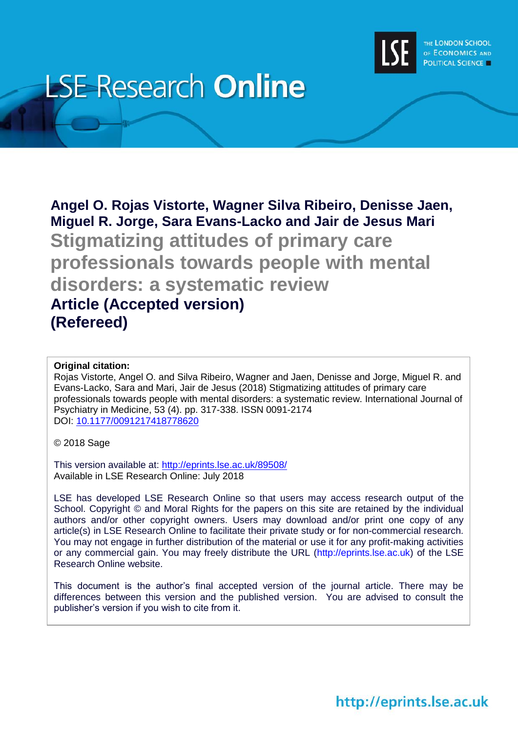

# **LSE Research Online**

**Angel O. Rojas Vistorte, Wagner Silva Ribeiro, Denisse Jaen, Miguel R. Jorge, Sara Evans-Lacko and Jair de Jesus Mari Stigmatizing attitudes of primary care professionals towards people with mental disorders: a systematic review Article (Accepted version) (Refereed)**

#### **Original citation:**

Rojas Vistorte, Angel O. and Silva Ribeiro, Wagner and Jaen, Denisse and Jorge, Miguel R. and Evans-Lacko, Sara and Mari, Jair de Jesus (2018) Stigmatizing attitudes of primary care professionals towards people with mental disorders: a systematic review. International Journal of Psychiatry in Medicine, 53 (4). pp. 317-338. ISSN 0091-2174 DOI: [10.1177/0091217418778620](http://doi.org/10.1177/0091217418778620) 

© 2018 Sage

This version available at:<http://eprints.lse.ac.uk/89508/> Available in LSE Research Online: July 2018

LSE has developed LSE Research Online so that users may access research output of the School. Copyright © and Moral Rights for the papers on this site are retained by the individual authors and/or other copyright owners. Users may download and/or print one copy of any article(s) in LSE Research Online to facilitate their private study or for non-commercial research. You may not engage in further distribution of the material or use it for any profit-making activities or any commercial gain. You may freely distribute the URL (http://eprints.lse.ac.uk) of the LSE Research Online website.

This document is the author's final accepted version of the journal article. There may be differences between this version and the published version. You are advised to consult the publisher's version if you wish to cite from it.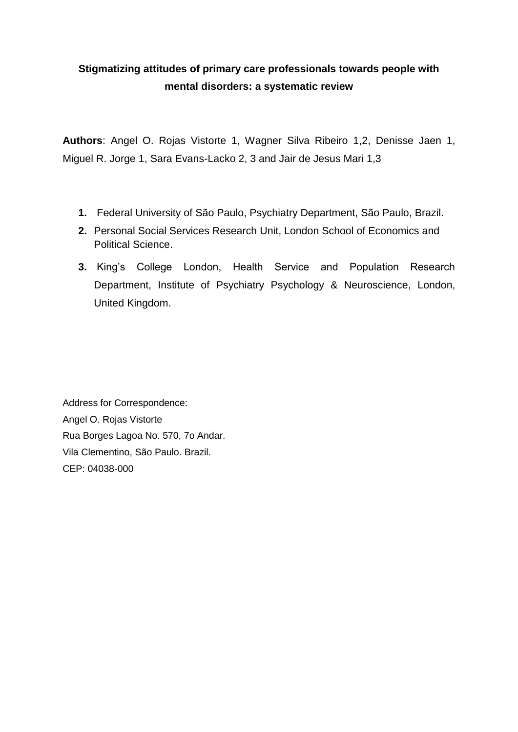## **Stigmatizing attitudes of primary care professionals towards people with mental disorders: a systematic review**

**Authors**: Angel O. Rojas Vistorte 1, Wagner Silva Ribeiro 1,2, Denisse Jaen 1, Miguel R. Jorge 1, Sara Evans-Lacko 2, 3 and Jair de Jesus Mari 1,3

- **1.** Federal University of São Paulo, Psychiatry Department, São Paulo, Brazil.
- **2.** Personal Social Services Research Unit, London School of Economics and Political Science.
- **3.** King's College London, Health Service and Population Research Department, Institute of Psychiatry Psychology & Neuroscience, London, United Kingdom.

Address for Correspondence: Angel O. Rojas Vistorte Rua Borges Lagoa No. 570, 7o Andar. Vila Clementino, São Paulo. Brazil. CEP: 04038-000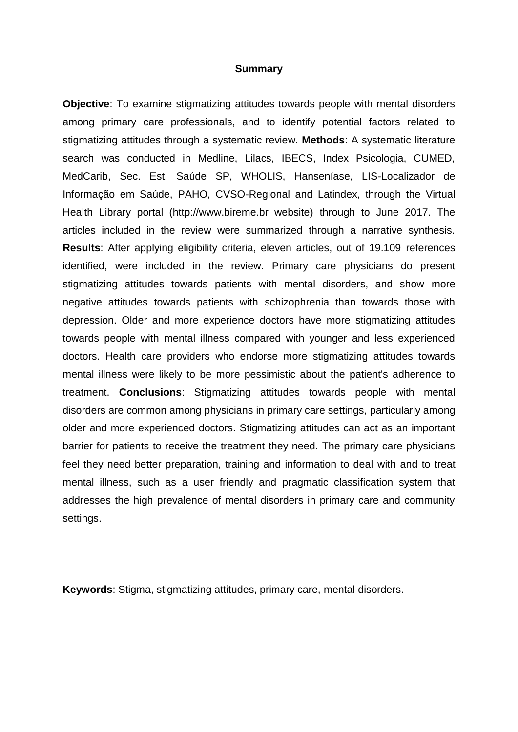#### **Summary**

**Objective**: To examine stigmatizing attitudes towards people with mental disorders among primary care professionals, and to identify potential factors related to stigmatizing attitudes through a systematic review. **Methods**: A systematic literature search was conducted in Medline, Lilacs, IBECS, Index Psicologia, CUMED, MedCarib, Sec. Est. Saúde SP, WHOLIS, Hanseníase, LIS-Localizador de Informação em Saúde, PAHO, CVSO-Regional and Latindex, through the Virtual Health Library portal (http://www.bireme.br website) through to June 2017. The articles included in the review were summarized through a narrative synthesis. **Results**: After applying eligibility criteria, eleven articles, out of 19.109 references identified, were included in the review. Primary care physicians do present stigmatizing attitudes towards patients with mental disorders, and show more negative attitudes towards patients with schizophrenia than towards those with depression. Older and more experience doctors have more stigmatizing attitudes towards people with mental illness compared with younger and less experienced doctors. Health care providers who endorse more stigmatizing attitudes towards mental illness were likely to be more pessimistic about the patient's adherence to treatment. **Conclusions**: Stigmatizing attitudes towards people with mental disorders are common among physicians in primary care settings, particularly among older and more experienced doctors. Stigmatizing attitudes can act as an important barrier for patients to receive the treatment they need. The primary care physicians feel they need better preparation, training and information to deal with and to treat mental illness, such as a user friendly and pragmatic classification system that addresses the high prevalence of mental disorders in primary care and community settings.

**Keywords**: Stigma, stigmatizing attitudes, primary care, mental disorders.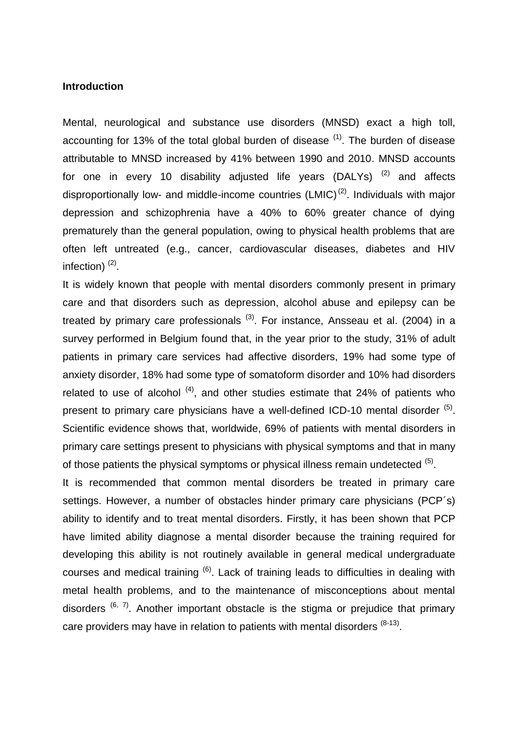#### **Introduction**

Mental, neurological and substance use disorders (MNSD) exact a high toll, accounting for 13% of the total global burden of disease  $(1)$ . The burden of disease attributable to MNSD increased by 41% between 1990 and 2010. MNSD accounts for one in every 10 disability adjusted life years (DALYs) <sup>[\(2\)](#page-11-1)</sup> and affects disproportionally low- and middle-income countries  $(LMIC)^{(2)}$  $(LMIC)^{(2)}$  $(LMIC)^{(2)}$ . Individuals with major depression and schizophrenia have a 40% to 60% greater chance of dying prematurely than the general population, owing to physical health problems that are often left untreated (e.g., cancer, cardiovascular diseases, diabetes and HIV infection) $(2)$ .

It is widely known that people with mental disorders commonly present in primary care and that disorders such as depression, alcohol abuse and epilepsy can be treated by primary care professionals <sup>[\(3\)](#page-11-2)</sup>. For instance, Ansseau et al. (2004) in a survey performed in Belgium found that, in the year prior to the study, 31% of adult patients in primary care services had affective disorders, 19% had some type of anxiety disorder, 18% had some type of somatoform disorder and 10% had disorders related to use of alcohol  $(4)$ , and other studies estimate that 24% of patients who present to primary care physicians have a well-defined ICD-10 mental disorder  $(5)$ . Scientific evidence shows that, worldwide, 69% of patients with mental disorders in primary care settings present to physicians with physical symptoms and that in many of those patients the physical symptoms or physical illness remain undetected  $(5)$ .

It is recommended that common mental disorders be treated in primary care settings. However, a number of obstacles hinder primary care physicians (PCP´s) ability to identify and to treat mental disorders. Firstly, it has been shown that PCP have limited ability diagnose a mental disorder because the training required for developing this ability is not routinely available in general medical undergraduate courses and medical training  $(6)$ . Lack of training leads to difficulties in dealing with metal health problems, and to the maintenance of misconceptions about mental disorders  $(6, 7)$  $(6, 7)$ . Another important obstacle is the stigma or prejudice that primary care providers may have in relation to patients with mental disorders  $(8-13)$ .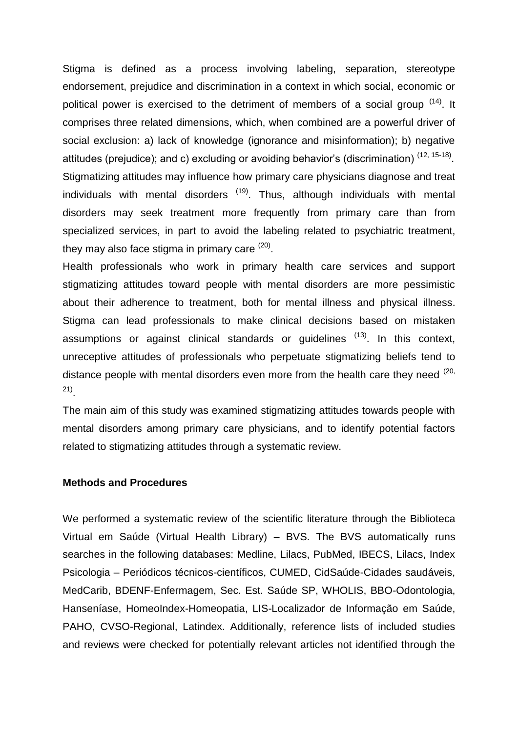Stigma is defined as a process involving labeling, separation, stereotype endorsement, prejudice and discrimination in a context in which social, economic or political power is exercised to the detriment of members of a social group <sup>[\(14\)](#page-11-8)</sup>. It comprises three related dimensions, which, when combined are a powerful driver of social exclusion: a) lack of knowledge (ignorance and misinformation); b) negative attitudes (prejudice); and c) excluding or avoiding behavior's (discrimination)  $(12, 15-18)$  $(12, 15-18)$ . Stigmatizing attitudes may influence how primary care physicians diagnose and treat individuals with mental disorders <sup>[\(19\)](#page-12-1)</sup>. Thus, although individuals with mental disorders may seek treatment more frequently from primary care than from specialized services, in part to avoid the labeling related to psychiatric treatment, they may also face stigma in primary care <sup>[\(20\)](#page-12-2)</sup>.

Health professionals who work in primary health care services and support stigmatizing attitudes toward people with mental disorders are more pessimistic about their adherence to treatment, both for mental illness and physical illness. Stigma can lead professionals to make clinical decisions based on mistaken assumptions or against clinical standards or guidelines <sup>[\(13\)](#page-11-10)</sup>. In this context, unreceptive attitudes of professionals who perpetuate stigmatizing beliefs tend to distance people with mental disorders even more from the health care they need  $(20, 10)$  $(20, 10)$ [21\)](#page-12-3) .

The main aim of this study was examined stigmatizing attitudes towards people with mental disorders among primary care physicians, and to identify potential factors related to stigmatizing attitudes through a systematic review.

#### **Methods and Procedures**

We performed a systematic review of the scientific literature through the Biblioteca Virtual em Saúde (Virtual Health Library) – BVS. The BVS automatically runs searches in the following databases: Medline, Lilacs, PubMed, IBECS, Lilacs, Index Psicologia – Periódicos técnicos-científicos, CUMED, CidSaúde-Cidades saudáveis, MedCarib, BDENF-Enfermagem, Sec. Est. Saúde SP, WHOLIS, BBO-Odontologia, Hanseníase, HomeoIndex-Homeopatia, LIS-Localizador de Informação em Saúde, PAHO, CVSO-Regional, Latindex. Additionally, reference lists of included studies and reviews were checked for potentially relevant articles not identified through the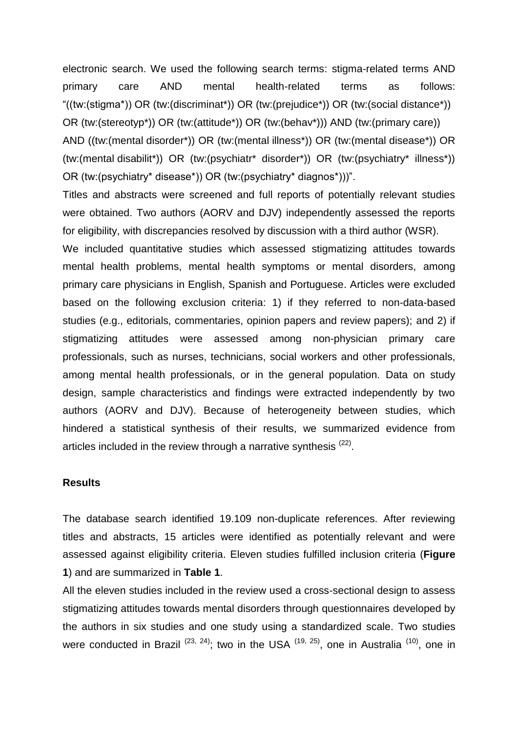electronic search. We used the following search terms: stigma-related terms AND primary care AND mental health-related terms as follows: "((tw:(stigma\*)) OR (tw:(discriminat\*)) OR (tw:(prejudice\*)) OR (tw:(social distance\*)) OR (tw:(stereotyp\*)) OR (tw:(attitude\*)) OR (tw:(behav\*))) AND (tw:(primary care)) AND ((tw:(mental disorder\*)) OR (tw:(mental illness\*)) OR (tw:(mental disease\*)) OR (tw:(mental disabilit\*)) OR (tw:(psychiatr\* disorder\*)) OR (tw:(psychiatry\* illness\*)) OR (tw:(psychiatry\* disease\*)) OR (tw:(psychiatry\* diagnos\*)))". Titles and abstracts were screened and full reports of potentially relevant studies were obtained. Two authors (AORV and DJV) independently assessed the reports for eligibility, with discrepancies resolved by discussion with a third author (WSR). We included quantitative studies which assessed stigmatizing attitudes towards mental health problems, mental health symptoms or mental disorders, among primary care physicians in English, Spanish and Portuguese. Articles were excluded based on the following exclusion criteria: 1) if they referred to non-data-based studies (e.g., editorials, commentaries, opinion papers and review papers); and 2) if stigmatizing attitudes were assessed among non-physician primary care professionals, such as nurses, technicians, social workers and other professionals, among mental health professionals, or in the general population. Data on study

design, sample characteristics and findings were extracted independently by two authors (AORV and DJV). Because of heterogeneity between studies, which hindered a statistical synthesis of their results, we summarized evidence from articles included in the review through a narrative synthesis  $(22)$ .

#### **Results**

The database search identified 19.109 non-duplicate references. After reviewing titles and abstracts, 15 articles were identified as potentially relevant and were assessed against eligibility criteria. Eleven studies fulfilled inclusion criteria (**Figure 1**) and are summarized in **Table 1**.

All the eleven studies included in the review used a cross-sectional design to assess stigmatizing attitudes towards mental disorders through questionnaires developed by the authors in six studies and one study using a standardized scale. Two studies were conducted in Brazil<sup>[\(23,](#page-12-5) [24\)](#page-12-6)</sup>; two in the USA<sup>[\(19,](#page-12-1) [25\)](#page-12-7)</sup>, one in Australia<sup>[\(10\)](#page-11-11)</sup>, one in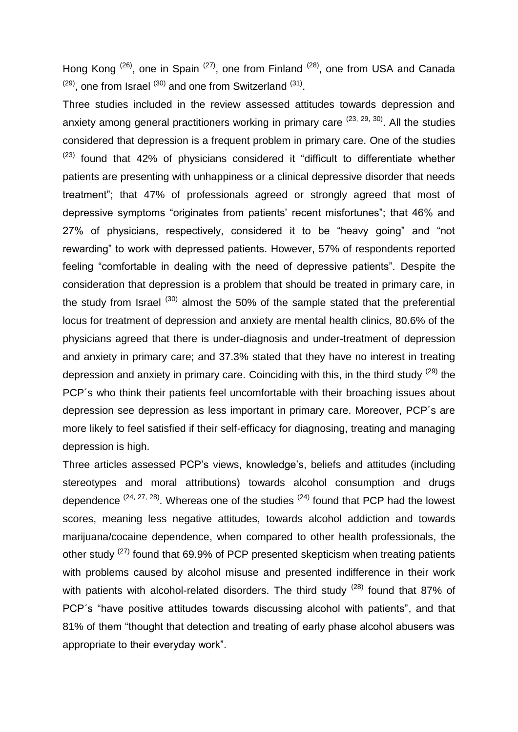Hong Kong <sup>[\(26\)](#page-12-8)</sup>, one in Spain <sup>[\(27\)](#page-12-9)</sup>, one from Finland <sup>[\(28\)](#page-12-10)</sup>, one from USA and Canada  $^{(29)}$  $^{(29)}$  $^{(29)}$ , one from Israel  $^{(30)}$  $^{(30)}$  $^{(30)}$  and one from Switzerland  $^{(31)}$  $^{(31)}$  $^{(31)}$ .

Three studies included in the review assessed attitudes towards depression and anxiety among general practitioners working in primary care <sup>[\(23,](#page-12-5) [29,](#page-12-11) [30\)](#page-12-12)</sup>. All the studies considered that depression is a frequent problem in primary care. One of the studies  $(23)$  found that 42% of physicians considered it "difficult to differentiate whether patients are presenting with unhappiness or a clinical depressive disorder that needs treatment"; that 47% of professionals agreed or strongly agreed that most of depressive symptoms "originates from patients' recent misfortunes"; that 46% and 27% of physicians, respectively, considered it to be "heavy going" and "not rewarding" to work with depressed patients. However, 57% of respondents reported feeling "comfortable in dealing with the need of depressive patients". Despite the consideration that depression is a problem that should be treated in primary care, in the study from Israel  $(30)$  almost the 50% of the sample stated that the preferential locus for treatment of depression and anxiety are mental health clinics, 80.6% of the physicians agreed that there is under-diagnosis and under-treatment of depression and anxiety in primary care; and 37.3% stated that they have no interest in treating depression and anxiety in primary care. Coinciding with this, in the third study <sup>[\(29\)](#page-12-11)</sup> the PCP's who think their patients feel uncomfortable with their broaching issues about depression see depression as less important in primary care. Moreover, PCP´s are more likely to feel satisfied if their self-efficacy for diagnosing, treating and managing depression is high.

Three articles assessed PCP's views, knowledge's, beliefs and attitudes (including stereotypes and moral attributions) towards alcohol consumption and drugs dependence  $(24, 27, 28)$  $(24, 27, 28)$  $(24, 27, 28)$ . Whereas one of the studies  $(24)$  found that PCP had the lowest scores, meaning less negative attitudes, towards alcohol addiction and towards marijuana/cocaine dependence, when compared to other health professionals, the other study <sup>[\(27\)](#page-12-9)</sup> found that 69.9% of PCP presented skepticism when treating patients with problems caused by alcohol misuse and presented indifference in their work with patients with alcohol-related disorders. The third study  $(28)$  found that 87% of PCP´s "have positive attitudes towards discussing alcohol with patients", and that 81% of them "thought that detection and treating of early phase alcohol abusers was appropriate to their everyday work".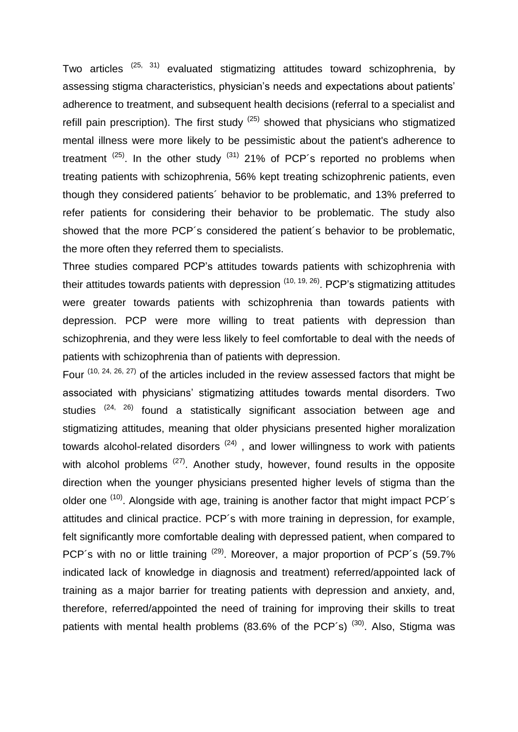Two articles <sup>[\(25,](#page-12-7) [31\)](#page-12-13)</sup> evaluated stigmatizing attitudes toward schizophrenia, by assessing stigma characteristics, physician's needs and expectations about patients' adherence to treatment, and subsequent health decisions (referral to a specialist and refill pain prescription). The first study  $(25)$  showed that physicians who stigmatized mental illness were more likely to be pessimistic about the patient's adherence to treatment  $(25)$ . In the other study  $(31)$  21% of PCP's reported no problems when treating patients with schizophrenia, 56% kept treating schizophrenic patients, even though they considered patients´ behavior to be problematic, and 13% preferred to refer patients for considering their behavior to be problematic. The study also showed that the more PCP´s considered the patient´s behavior to be problematic, the more often they referred them to specialists.

Three studies compared PCP's attitudes towards patients with schizophrenia with their attitudes towards patients with depression  $(10, 19, 26)$  $(10, 19, 26)$  $(10, 19, 26)$ . PCP's stigmatizing attitudes were greater towards patients with schizophrenia than towards patients with depression. PCP were more willing to treat patients with depression than schizophrenia, and they were less likely to feel comfortable to deal with the needs of patients with schizophrenia than of patients with depression.

Four  $(10, 24, 26, 27)$  $(10, 24, 26, 27)$  $(10, 24, 26, 27)$  $(10, 24, 26, 27)$  of the articles included in the review assessed factors that might be associated with physicians' stigmatizing attitudes towards mental disorders. Two studies <sup>[\(24,](#page-12-6) [26\)](#page-12-8)</sup> found a statistically significant association between age and stigmatizing attitudes, meaning that older physicians presented higher moralization towards alcohol-related disorders  $(24)$ , and lower willingness to work with patients with alcohol problems <sup>[\(27\)](#page-12-9)</sup>. Another study, however, found results in the opposite direction when the younger physicians presented higher levels of stigma than the older one <sup>[\(10\)](#page-11-11)</sup>. Alongside with age, training is another factor that might impact PCP's attitudes and clinical practice. PCP´s with more training in depression, for example, felt significantly more comfortable dealing with depressed patient, when compared to PCP's with no or little training  $(29)$ . Moreover, a major proportion of PCP's (59.7% indicated lack of knowledge in diagnosis and treatment) referred/appointed lack of training as a major barrier for treating patients with depression and anxiety, and, therefore, referred/appointed the need of training for improving their skills to treat patients with mental health problems (83.6% of the PCP's)<sup>[\(30\)](#page-12-12)</sup>. Also, Stigma was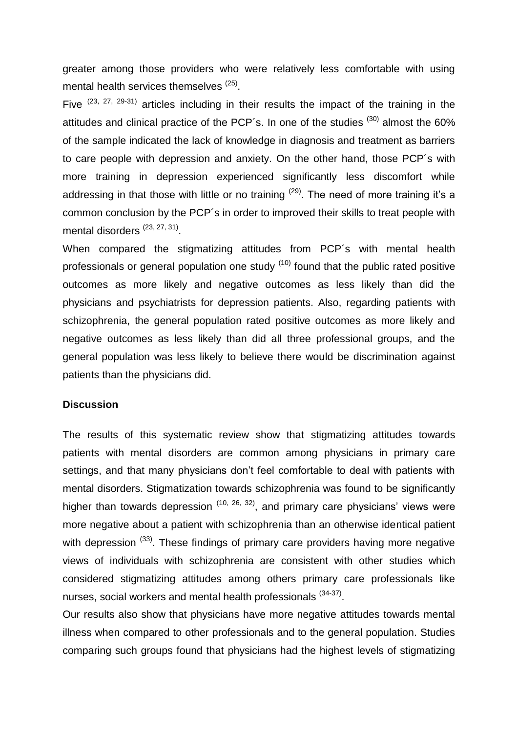greater among those providers who were relatively less comfortable with using mental health services themselves <sup>[\(25\)](#page-12-7)</sup>.

Five  $(23, 27, 29-31)$  $(23, 27, 29-31)$  $(23, 27, 29-31)$  articles including in their results the impact of the training in the attitudes and clinical practice of the PCP's. In one of the studies  $(30)$  almost the 60% of the sample indicated the lack of knowledge in diagnosis and treatment as barriers to care people with depression and anxiety. On the other hand, those PCP´s with more training in depression experienced significantly less discomfort while addressing in that those with little or no training <sup>[\(29\)](#page-12-11)</sup>. The need of more training it's a common conclusion by the PCP´s in order to improved their skills to treat people with mental disorders<sup>[\(23,](#page-12-5) [27,](#page-12-9) [31\)](#page-12-13)</sup>.

When compared the stigmatizing attitudes from PCP´s with mental health professionals or general population one study <sup>[\(10\)](#page-11-11)</sup> found that the public rated positive outcomes as more likely and negative outcomes as less likely than did the physicians and psychiatrists for depression patients. Also, regarding patients with schizophrenia, the general population rated positive outcomes as more likely and negative outcomes as less likely than did all three professional groups, and the general population was less likely to believe there would be discrimination against patients than the physicians did.

#### **Discussion**

The results of this systematic review show that stigmatizing attitudes towards patients with mental disorders are common among physicians in primary care settings, and that many physicians don't feel comfortable to deal with patients with mental disorders. Stigmatization towards schizophrenia was found to be significantly higher than towards depression  $(10, 26, 32)$  $(10, 26, 32)$  $(10, 26, 32)$ , and primary care physicians' views were more negative about a patient with schizophrenia than an otherwise identical patient with depression <sup>[\(33\)](#page-12-15)</sup>. These findings of primary care providers having more negative views of individuals with schizophrenia are consistent with other studies which considered stigmatizing attitudes among others primary care professionals like nurses, social workers and mental health professionals <sup>[\(34-37\)](#page-13-0)</sup>.

 Our results also show that physicians have more negative attitudes towards mental illness when compared to other professionals and to the general population. Studies comparing such groups found that physicians had the highest levels of stigmatizing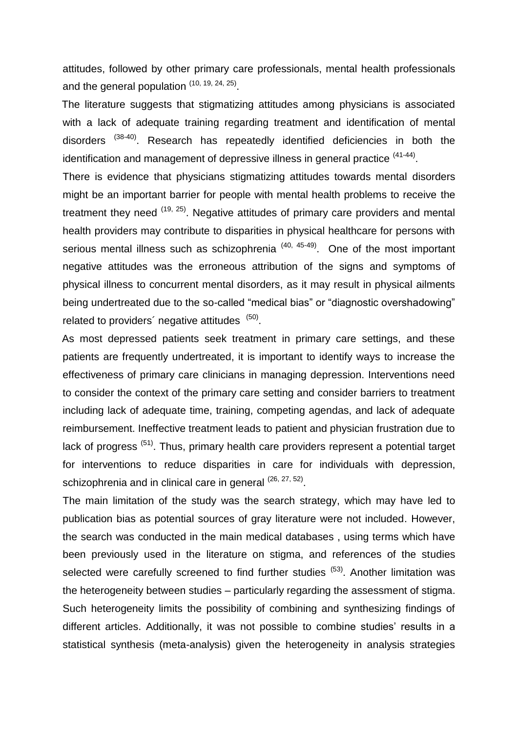attitudes, followed by other primary care professionals, mental health professionals and the general population [\(10,](#page-11-11) [19,](#page-12-1) [24,](#page-12-6) [25\)](#page-12-7).

 The literature suggests that stigmatizing attitudes among physicians is associated with a lack of adequate training regarding treatment and identification of mental disorders <sup>[\(38-40\)](#page-13-1)</sup>. Research has repeatedly identified deficiencies in both the identification and management of depressive illness in general practice <sup>[\(41-44\)](#page-13-2)</sup>.

There is evidence that physicians stigmatizing attitudes towards mental disorders might be an important barrier for people with mental health problems to receive the treatment they need <sup>[\(19,](#page-12-1) [25\)](#page-12-7)</sup>. Negative attitudes of primary care providers and mental health providers may contribute to disparities in physical healthcare for persons with serious mental illness such as schizophrenia<sup> [\(40,](#page-13-3) [45-49\)](#page-13-4)</sup>. One of the most important negative attitudes was the erroneous attribution of the signs and symptoms of physical illness to concurrent mental disorders, as it may result in physical ailments being undertreated due to the so-called "medical bias" or "diagnostic overshadowing" related to providers' negative attitudes [\(50\)](#page-13-5).

 As most depressed patients seek treatment in primary care settings, and these patients are frequently undertreated, it is important to identify ways to increase the effectiveness of primary care clinicians in managing depression. Interventions need to consider the context of the primary care setting and consider barriers to treatment including lack of adequate time, training, competing agendas, and lack of adequate reimbursement. Ineffective treatment leads to patient and physician frustration due to lack of progress <sup>[\(51\)](#page-14-0)</sup>. Thus, primary health care providers represent a potential target for interventions to reduce disparities in care for individuals with depression, schizophrenia and in clinical care in general <sup>[\(26,](#page-12-8) [27,](#page-12-9) [52\)](#page-14-1)</sup>.

The main limitation of the study was the search strategy, which may have led to publication bias as potential sources of gray literature were not included. However, the search was conducted in the main medical databases , using terms which have been previously used in the literature on stigma, and references of the studies selected were carefully screened to find further studies <sup>[\(53\)](#page-14-2)</sup>. Another limitation was the heterogeneity between studies – particularly regarding the assessment of stigma. Such heterogeneity limits the possibility of combining and synthesizing findings of different articles. Additionally, it was not possible to combine studies' results in a statistical synthesis (meta-analysis) given the heterogeneity in analysis strategies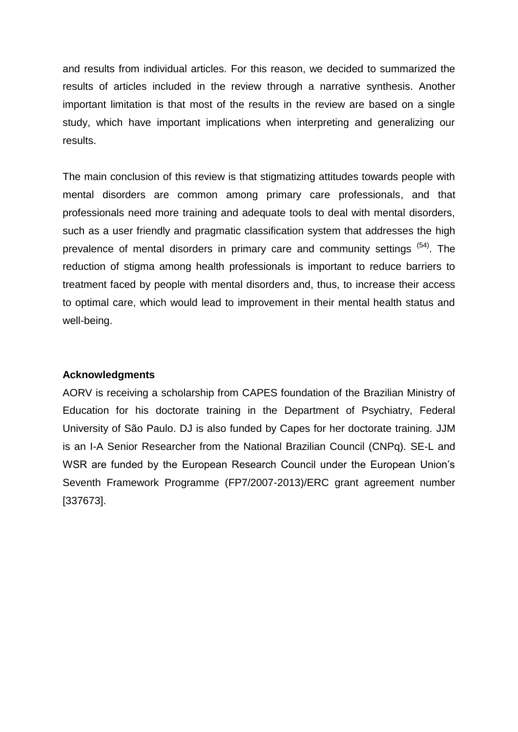and results from individual articles. For this reason, we decided to summarized the results of articles included in the review through a narrative synthesis. Another important limitation is that most of the results in the review are based on a single study, which have important implications when interpreting and generalizing our results.

The main conclusion of this review is that stigmatizing attitudes towards people with mental disorders are common among primary care professionals, and that professionals need more training and adequate tools to deal with mental disorders, such as a user friendly and pragmatic classification system that addresses the high prevalence of mental disorders in primary care and community settings <sup>[\(54\)](#page-14-3)</sup>. The reduction of stigma among health professionals is important to reduce barriers to treatment faced by people with mental disorders and, thus, to increase their access to optimal care, which would lead to improvement in their mental health status and well-being.

#### **Acknowledgments**

AORV is receiving a scholarship from CAPES foundation of the Brazilian Ministry of Education for his doctorate training in the Department of Psychiatry, Federal University of São Paulo. DJ is also funded by Capes for her doctorate training. JJM is an I-A Senior Researcher from the National Brazilian Council (CNPq). SE-L and WSR are funded by the European Research Council under the European Union's Seventh Framework Programme (FP7/2007-2013)/ERC grant agreement number [337673].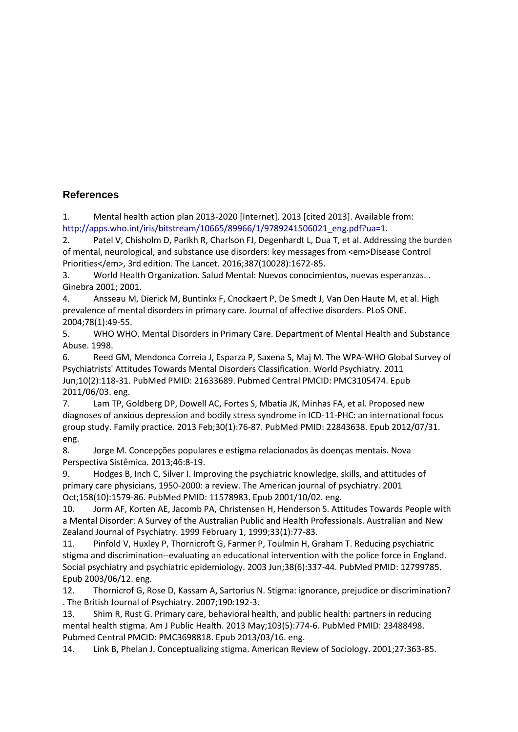### **References**

<span id="page-11-0"></span>1. Mental health action plan 2013-2020 [Internet]. 2013 [cited 2013]. Available from: [http://apps.who.int/iris/bitstream/10665/89966/1/9789241506021\\_eng.pdf?ua=1.](http://apps.who.int/iris/bitstream/10665/89966/1/9789241506021_eng.pdf?ua=1)

<span id="page-11-1"></span>2. Patel V, Chisholm D, Parikh R, Charlson FJ, Degenhardt L, Dua T, et al. Addressing the burden of mental, neurological, and substance use disorders: key messages from <em>Disease Control Priorities</em>, 3rd edition. The Lancet. 2016;387(10028):1672-85.

<span id="page-11-2"></span>3. World Health Organization. Salud Mental: Nuevos conocimientos, nuevas esperanzas. . Ginebra 2001; 2001.

<span id="page-11-3"></span>4. Ansseau M, Dierick M, Buntinkx F, Cnockaert P, De Smedt J, Van Den Haute M, et al. High prevalence of mental disorders in primary care. Journal of affective disorders. PLoS ONE. 2004;78(1):49-55.

<span id="page-11-4"></span>5. WHO WHO. Mental Disorders in Primary Care. Department of Mental Health and Substance Abuse. 1998.

<span id="page-11-5"></span>6. Reed GM, Mendonca Correia J, Esparza P, Saxena S, Maj M. The WPA-WHO Global Survey of Psychiatrists' Attitudes Towards Mental Disorders Classification. World Psychiatry. 2011 Jun;10(2):118-31. PubMed PMID: 21633689. Pubmed Central PMCID: PMC3105474. Epub 2011/06/03. eng.

<span id="page-11-6"></span>7. Lam TP, Goldberg DP, Dowell AC, Fortes S, Mbatia JK, Minhas FA, et al. Proposed new diagnoses of anxious depression and bodily stress syndrome in ICD-11-PHC: an international focus group study. Family practice. 2013 Feb;30(1):76-87. PubMed PMID: 22843638. Epub 2012/07/31. eng.

<span id="page-11-7"></span>8. Jorge M. Concepções populares e estigma relacionados às doenças mentais. Nova Perspectiva Sistêmica. 2013;46:8-19.

9. Hodges B, Inch C, Silver I. Improving the psychiatric knowledge, skills, and attitudes of primary care physicians, 1950-2000: a review. The American journal of psychiatry. 2001 Oct;158(10):1579-86. PubMed PMID: 11578983. Epub 2001/10/02. eng.

<span id="page-11-11"></span>10. Jorm AF, Korten AE, Jacomb PA, Christensen H, Henderson S. Attitudes Towards People with a Mental Disorder: A Survey of the Australian Public and Health Professionals. Australian and New Zealand Journal of Psychiatry. 1999 February 1, 1999;33(1):77-83.

11. Pinfold V, Huxley P, Thornicroft G, Farmer P, Toulmin H, Graham T. Reducing psychiatric stigma and discrimination--evaluating an educational intervention with the police force in England. Social psychiatry and psychiatric epidemiology. 2003 Jun;38(6):337-44. PubMed PMID: 12799785. Epub 2003/06/12. eng.

<span id="page-11-9"></span>12. Thornicrof G, Rose D, Kassam A, Sartorius N. Stigma: ignorance, prejudice or discrimination? . The British Journal of Psychiatry. 2007;190:192-3.

<span id="page-11-10"></span>13. Shim R, Rust G. Primary care, behavioral health, and public health: partners in reducing mental health stigma. Am J Public Health. 2013 May;103(5):774-6. PubMed PMID: 23488498. Pubmed Central PMCID: PMC3698818. Epub 2013/03/16. eng.

<span id="page-11-8"></span>14. Link B, Phelan J. Conceptualizing stigma. American Review of Sociology. 2001;27:363-85.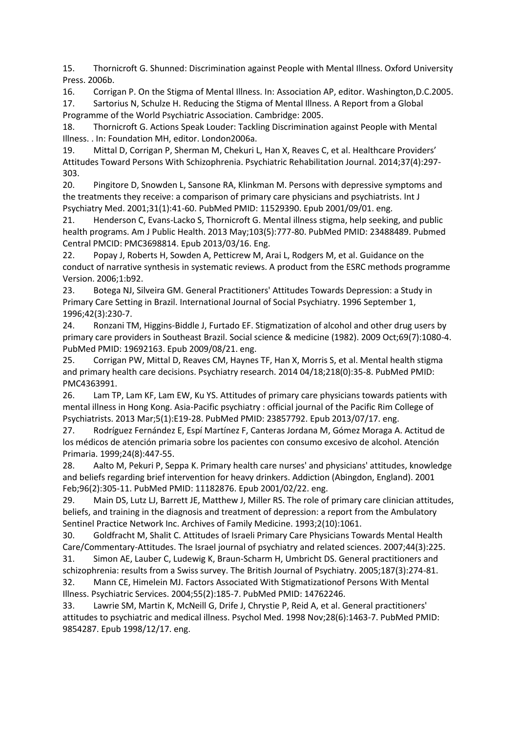<span id="page-12-0"></span>15. Thornicroft G. Shunned: Discrimination against People with Mental Illness. Oxford University Press. 2006b.

16. Corrigan P. On the Stigma of Mental Illness. In: Association AP, editor. Washington,D.C.2005.

17. Sartorius N, Schulze H. Reducing the Stigma of Mental Illness. A Report from a Global Programme of the World Psychiatric Association. Cambridge: 2005.

18. Thornicroft G. Actions Speak Louder: Tackling Discrimination against People with Mental Illness. . In: Foundation MH, editor. London2006a.

<span id="page-12-1"></span>19. Mittal D, Corrigan P, Sherman M, Chekuri L, Han X, Reaves C, et al. Healthcare Providers' Attitudes Toward Persons With Schizophrenia. Psychiatric Rehabilitation Journal. 2014;37(4):297- 303.

<span id="page-12-2"></span>20. Pingitore D, Snowden L, Sansone RA, Klinkman M. Persons with depressive symptoms and the treatments they receive: a comparison of primary care physicians and psychiatrists. Int J Psychiatry Med. 2001;31(1):41-60. PubMed PMID: 11529390. Epub 2001/09/01. eng.

<span id="page-12-3"></span>21. Henderson C, Evans-Lacko S, Thornicroft G. Mental illness stigma, help seeking, and public health programs. Am J Public Health. 2013 May;103(5):777-80. PubMed PMID: 23488489. Pubmed Central PMCID: PMC3698814. Epub 2013/03/16. Eng.

<span id="page-12-4"></span>22. Popay J, Roberts H, Sowden A, Petticrew M, Arai L, Rodgers M, et al. Guidance on the conduct of narrative synthesis in systematic reviews. A product from the ESRC methods programme Version. 2006;1:b92.

<span id="page-12-5"></span>23. Botega NJ, Silveira GM. General Practitioners' Attitudes Towards Depression: a Study in Primary Care Setting in Brazil. International Journal of Social Psychiatry. 1996 September 1, 1996;42(3):230-7.

<span id="page-12-6"></span>24. Ronzani TM, Higgins-Biddle J, Furtado EF. Stigmatization of alcohol and other drug users by primary care providers in Southeast Brazil. Social science & medicine (1982). 2009 Oct;69(7):1080-4. PubMed PMID: 19692163. Epub 2009/08/21. eng.

<span id="page-12-7"></span>25. Corrigan PW, Mittal D, Reaves CM, Haynes TF, Han X, Morris S, et al. Mental health stigma and primary health care decisions. Psychiatry research. 2014 04/18;218(0):35-8. PubMed PMID: PMC4363991.

<span id="page-12-8"></span>26. Lam TP, Lam KF, Lam EW, Ku YS. Attitudes of primary care physicians towards patients with mental illness in Hong Kong. Asia-Pacific psychiatry : official journal of the Pacific Rim College of Psychiatrists. 2013 Mar;5(1):E19-28. PubMed PMID: 23857792. Epub 2013/07/17. eng.

<span id="page-12-9"></span>27. Rodríguez Fernández E, Espí Martínez F, Canteras Jordana M, Gómez Moraga A. Actitud de los médicos de atención primaria sobre los pacientes con consumo excesivo de alcohol. Atención Primaria. 1999;24(8):447-55.

<span id="page-12-10"></span>28. Aalto M, Pekuri P, Seppa K. Primary health care nurses' and physicians' attitudes, knowledge and beliefs regarding brief intervention for heavy drinkers. Addiction (Abingdon, England). 2001 Feb;96(2):305-11. PubMed PMID: 11182876. Epub 2001/02/22. eng.

<span id="page-12-11"></span>29. Main DS, Lutz LJ, Barrett JE, Matthew J, Miller RS. The role of primary care clinician attitudes, beliefs, and training in the diagnosis and treatment of depression: a report from the Ambulatory Sentinel Practice Network Inc. Archives of Family Medicine. 1993;2(10):1061.

<span id="page-12-12"></span>30. Goldfracht M, Shalit C. Attitudes of Israeli Primary Care Physicians Towards Mental Health Care/Commentary-Attitudes. The Israel journal of psychiatry and related sciences. 2007;44(3):225.

<span id="page-12-13"></span>31. Simon AE, Lauber C, Ludewig K, Braun-Scharm H, Umbricht DS. General practitioners and schizophrenia: results from a Swiss survey. The British Journal of Psychiatry. 2005;187(3):274-81. 32. Mann CE, Himelein MJ. Factors Associated With Stigmatizationof Persons With Mental

<span id="page-12-14"></span>Illness. Psychiatric Services. 2004;55(2):185-7. PubMed PMID: 14762246.

<span id="page-12-15"></span>33. Lawrie SM, Martin K, McNeill G, Drife J, Chrystie P, Reid A, et al. General practitioners' attitudes to psychiatric and medical illness. Psychol Med. 1998 Nov;28(6):1463-7. PubMed PMID: 9854287. Epub 1998/12/17. eng.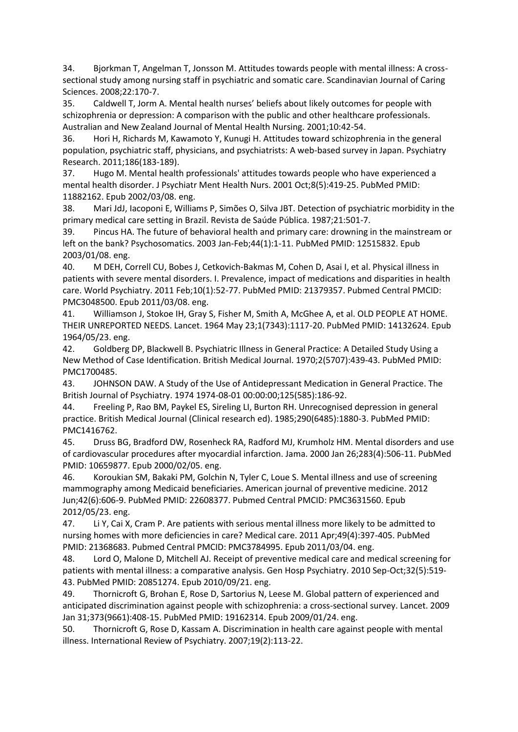<span id="page-13-0"></span>34. Bjorkman T, Angelman T, Jonsson M. Attitudes towards people with mental illness: A crosssectional study among nursing staff in psychiatric and somatic care. Scandinavian Journal of Caring Sciences. 2008;22:170-7.

35. Caldwell T, Jorm A. Mental health nurses' beliefs about likely outcomes for people with schizophrenia or depression: A comparison with the public and other healthcare professionals. Australian and New Zealand Journal of Mental Health Nursing. 2001;10:42-54.

36. Hori H, Richards M, Kawamoto Y, Kunugi H. Attitudes toward schizophrenia in the general population, psychiatric staff, physicians, and psychiatrists: A web-based survey in Japan. Psychiatry Research. 2011;186(183-189).

37. Hugo M. Mental health professionals' attitudes towards people who have experienced a mental health disorder. J Psychiatr Ment Health Nurs. 2001 Oct;8(5):419-25. PubMed PMID: 11882162. Epub 2002/03/08. eng.

<span id="page-13-1"></span>38. Mari JdJ, Iacoponi E, Williams P, Simões O, Silva JBT. Detection of psychiatric morbidity in the primary medical care setting in Brazil. Revista de Saúde Pública. 1987;21:501-7.

39. Pincus HA. The future of behavioral health and primary care: drowning in the mainstream or left on the bank? Psychosomatics. 2003 Jan-Feb;44(1):1-11. PubMed PMID: 12515832. Epub 2003/01/08. eng.

<span id="page-13-3"></span>40. M DEH, Correll CU, Bobes J, Cetkovich-Bakmas M, Cohen D, Asai I, et al. Physical illness in patients with severe mental disorders. I. Prevalence, impact of medications and disparities in health care. World Psychiatry. 2011 Feb;10(1):52-77. PubMed PMID: 21379357. Pubmed Central PMCID: PMC3048500. Epub 2011/03/08. eng.

<span id="page-13-2"></span>41. Williamson J, Stokoe IH, Gray S, Fisher M, Smith A, McGhee A, et al. OLD PEOPLE AT HOME. THEIR UNREPORTED NEEDS. Lancet. 1964 May 23;1(7343):1117-20. PubMed PMID: 14132624. Epub 1964/05/23. eng.

42. Goldberg DP, Blackwell B. Psychiatric Illness in General Practice: A Detailed Study Using a New Method of Case Identification. British Medical Journal. 1970;2(5707):439-43. PubMed PMID: PMC1700485.

43. JOHNSON DAW. A Study of the Use of Antidepressant Medication in General Practice. The British Journal of Psychiatry. 1974 1974-08-01 00:00:00;125(585):186-92.

44. Freeling P, Rao BM, Paykel ES, Sireling LI, Burton RH. Unrecognised depression in general practice. British Medical Journal (Clinical research ed). 1985;290(6485):1880-3. PubMed PMID: PMC1416762.

<span id="page-13-4"></span>45. Druss BG, Bradford DW, Rosenheck RA, Radford MJ, Krumholz HM. Mental disorders and use of cardiovascular procedures after myocardial infarction. Jama. 2000 Jan 26;283(4):506-11. PubMed PMID: 10659877. Epub 2000/02/05. eng.

46. Koroukian SM, Bakaki PM, Golchin N, Tyler C, Loue S. Mental illness and use of screening mammography among Medicaid beneficiaries. American journal of preventive medicine. 2012 Jun;42(6):606-9. PubMed PMID: 22608377. Pubmed Central PMCID: PMC3631560. Epub 2012/05/23. eng.

47. Li Y, Cai X, Cram P. Are patients with serious mental illness more likely to be admitted to nursing homes with more deficiencies in care? Medical care. 2011 Apr;49(4):397-405. PubMed PMID: 21368683. Pubmed Central PMCID: PMC3784995. Epub 2011/03/04. eng.

48. Lord O, Malone D, Mitchell AJ. Receipt of preventive medical care and medical screening for patients with mental illness: a comparative analysis. Gen Hosp Psychiatry. 2010 Sep-Oct;32(5):519- 43. PubMed PMID: 20851274. Epub 2010/09/21. eng.

49. Thornicroft G, Brohan E, Rose D, Sartorius N, Leese M. Global pattern of experienced and anticipated discrimination against people with schizophrenia: a cross-sectional survey. Lancet. 2009 Jan 31;373(9661):408-15. PubMed PMID: 19162314. Epub 2009/01/24. eng.

<span id="page-13-5"></span>50. Thornicroft G, Rose D, Kassam A. Discrimination in health care against people with mental illness. International Review of Psychiatry. 2007;19(2):113-22.